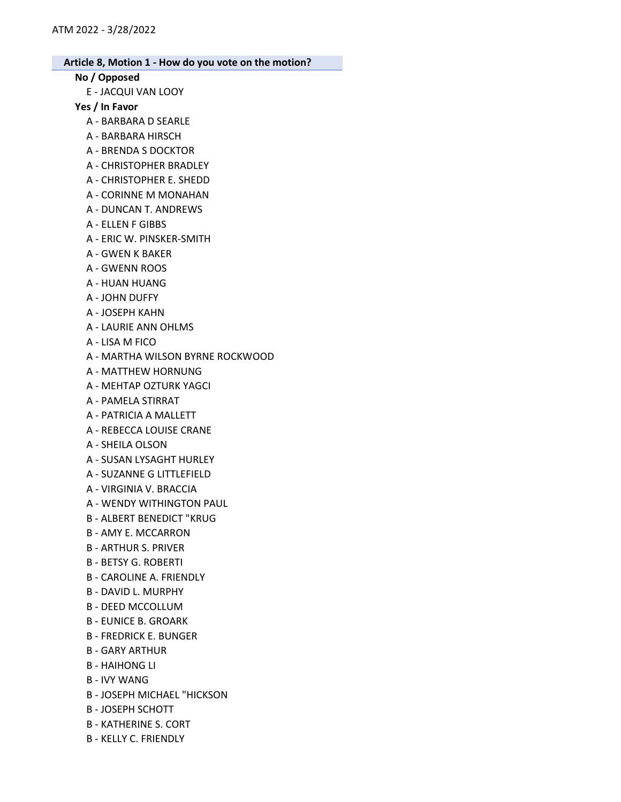#### No / Opposed

E - JACQUI VAN LOOY

# Yes / In Favor

- A BARBARA D SEARLE
- A BARBARA HIRSCH
- A BRENDA S DOCKTOR
- A CHRISTOPHER BRADLEY
- A CHRISTOPHER E. SHEDD
- A CORINNE M MONAHAN
- A DUNCAN T. ANDREWS
- A ELLEN F GIBBS
- A ERIC W. PINSKER-SMITH
- A GWEN K BAKER
- A GWENN ROOS
- A HUAN HUANG
- A JOHN DUFFY
- A JOSEPH KAHN
- A LAURIE ANN OHLMS
- A LISA M FICO
- A MARTHA WILSON BYRNE ROCKWOOD
- A MATTHEW HORNUNG
- A MEHTAP OZTURK YAGCI
- A PAMELA STIRRAT
- A PATRICIA A MALLETT
- A REBECCA LOUISE CRANE
- A SHEILA OLSON
- A SUSAN LYSAGHT HURLEY
- A SUZANNE G LITTLEFIELD
- A VIRGINIA V. BRACCIA
- A WENDY WITHINGTON PAUL
- B ALBERT BENEDICT "KRUG
- B AMY E. MCCARRON
- B ARTHUR S. PRIVER
- B BETSY G. ROBERTI
- B CAROLINE A. FRIENDLY
- B DAVID L. MURPHY
- B DEED MCCOLLUM
- B EUNICE B. GROARK
- B FREDRICK E. BUNGER
- B GARY ARTHUR
- B HAIHONG LI
- B IVY WANG
- B JOSEPH MICHAEL "HICKSON
- B JOSEPH SCHOTT
- B KATHERINE S. CORT
- B KELLY C. FRIENDLY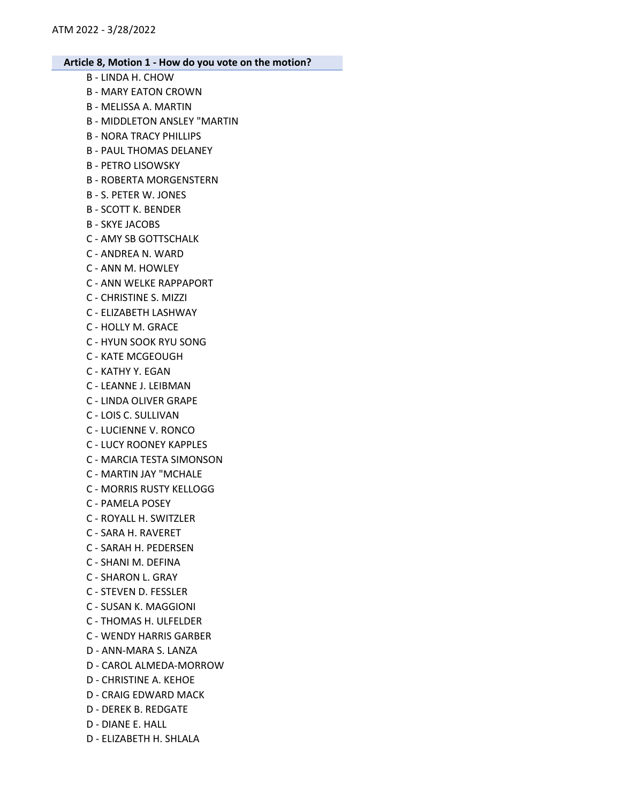B - LINDA H. CHOW B - MARY EATON CROWN B - MELISSA A. MARTIN B - MIDDLETON ANSLEY "MARTIN B - NORA TRACY PHILLIPS B - PAUL THOMAS DELANEY B - PETRO LISOWSKY B - ROBERTA MORGENSTERN B - S. PETER W. JONES B - SCOTT K. BENDER B - SKYE JACOBS C - AMY SB GOTTSCHALK C - ANDREA N. WARD C - ANN M. HOWLEY C - ANN WELKE RAPPAPORT C - CHRISTINE S. MIZZI C - ELIZABETH LASHWAY C - HOLLY M. GRACE C - HYUN SOOK RYU SONG C - KATE MCGEOUGH C - KATHY Y. EGAN C - LEANNE J. LEIBMAN C - LINDA OLIVER GRAPE C - LOIS C. SULLIVAN C - LUCIENNE V. RONCO C - LUCY ROONEY KAPPLES C - MARCIA TESTA SIMONSON C - MARTIN JAY "MCHALE C - MORRIS RUSTY KELLOGG C - PAMELA POSEY C - ROYALL H. SWITZLER C - SARA H. RAVERET C - SARAH H. PEDERSEN C - SHANI M. DEFINA C - SHARON L. GRAY C - STEVEN D. FESSLER C - SUSAN K. MAGGIONI C - THOMAS H. ULFELDER C - WENDY HARRIS GARBER D - ANN-MARA S. LANZA D - CAROL ALMEDA-MORROW D - CHRISTINE A. KEHOE D - CRAIG EDWARD MACK D - DEREK B. REDGATE D - DIANE E. HALL D - ELIZABETH H. SHLALA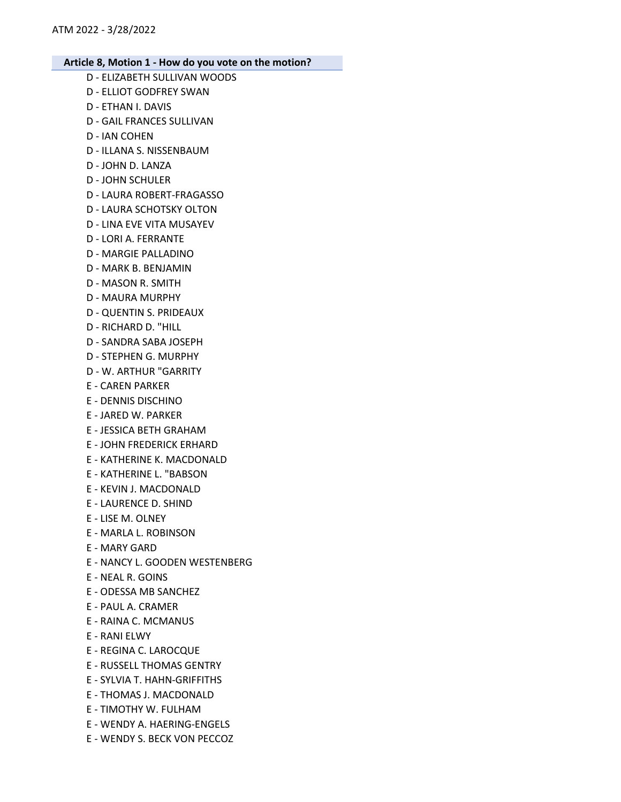- D ELIZABETH SULLIVAN WOODS
- D ELLIOT GODFREY SWAN
- D ETHAN I. DAVIS
- D GAIL FRANCES SULLIVAN
- D IAN COHEN
- D ILLANA S. NISSENBAUM
- D JOHN D. LANZA
- D JOHN SCHULER
- D LAURA ROBERT-FRAGASSO
- D LAURA SCHOTSKY OLTON
- D LINA EVE VITA MUSAYEV
- D LORI A. FERRANTE
- D MARGIE PALLADINO
- D MARK B. BENJAMIN
- D MASON R. SMITH
- D MAURA MURPHY
- D QUENTIN S. PRIDEAUX
- D RICHARD D. "HILL
- D SANDRA SABA JOSEPH
- D STEPHEN G. MURPHY
- D W. ARTHUR "GARRITY
- E CAREN PARKER
- E DENNIS DISCHINO
- E JARED W. PARKER
- E JESSICA BETH GRAHAM
- E JOHN FREDERICK ERHARD
- E KATHERINE K. MACDONALD
- E KATHERINE L. "BABSON
- E KEVIN J. MACDONALD
- E LAURENCE D. SHIND
- E LISE M. OLNEY
- E MARLA L. ROBINSON
- E MARY GARD
- E NANCY L. GOODEN WESTENBERG
- E NEAL R. GOINS
- E ODESSA MB SANCHEZ
- E PAUL A. CRAMER
- E RAINA C. MCMANUS
- E RANI ELWY
- E REGINA C. LAROCQUE
- E RUSSELL THOMAS GENTRY
- E SYLVIA T. HAHN-GRIFFITHS
- E THOMAS J. MACDONALD
- E TIMOTHY W. FULHAM
- E WENDY A. HAERING-ENGELS
- E WENDY S. BECK VON PECCOZ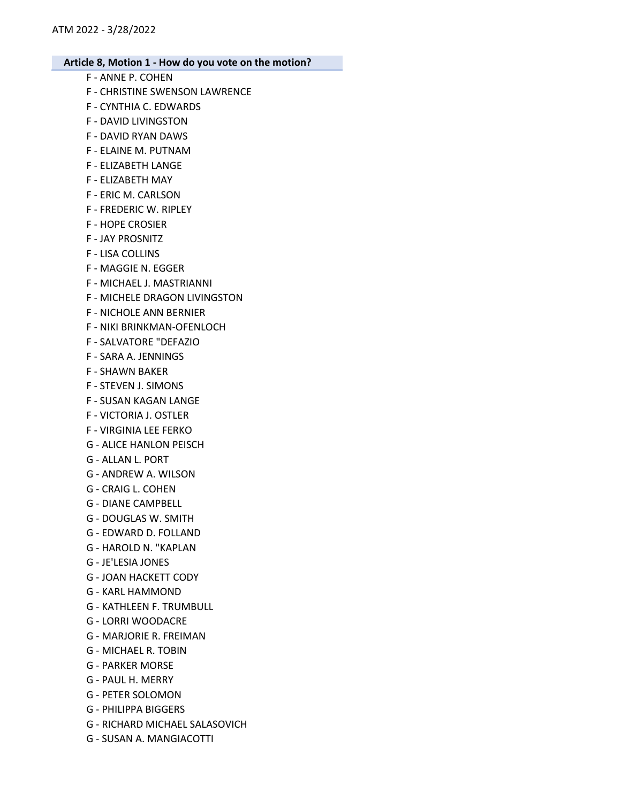- F ANNE P. COHEN
- F CHRISTINE SWENSON LAWRENCE
- F CYNTHIA C. EDWARDS
- F DAVID LIVINGSTON
- F DAVID RYAN DAWS
- F ELAINE M. PUTNAM
- F ELIZABETH LANGE
- F ELIZABETH MAY
- F ERIC M. CARLSON
- F FREDERIC W. RIPLEY
- F HOPE CROSIER
- F JAY PROSNITZ
- F LISA COLLINS
- F MAGGIE N. EGGER
- F MICHAEL J. MASTRIANNI
- F MICHELE DRAGON LIVINGSTON
- F NICHOLE ANN BERNIER
- F NIKI BRINKMAN-OFENLOCH
- F SALVATORE "DEFAZIO
- F SARA A. JENNINGS
- F SHAWN BAKER
- F STEVEN J. SIMONS
- F SUSAN KAGAN LANGE
- F VICTORIA J. OSTLER
- F VIRGINIA LEE FERKO
- G ALICE HANLON PEISCH
- G ALLAN L. PORT
- G ANDREW A. WILSON
- G CRAIG L. COHEN
- G DIANE CAMPBELL
- G DOUGLAS W. SMITH
- G EDWARD D. FOLLAND
- G HAROLD N. "KAPLAN
- G JE'LESIA JONES
- G JOAN HACKETT CODY
- G KARL HAMMOND
- G KATHLEEN F. TRUMBULL
- G LORRI WOODACRE
- G MARJORIE R. FREIMAN
- G MICHAEL R. TOBIN
- G PARKER MORSE
- G PAUL H. MERRY
- G PETER SOLOMON
- G PHILIPPA BIGGERS
- G RICHARD MICHAEL SALASOVICH
- G SUSAN A. MANGIACOTTI